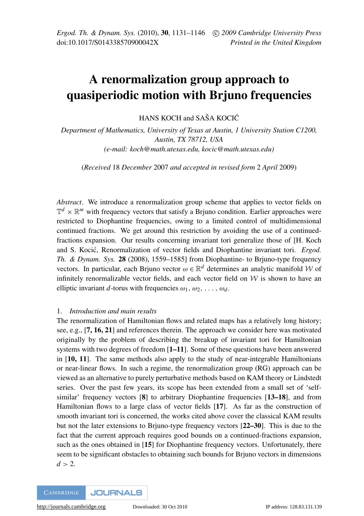# A renormalization group approach to quasiperiodic motion with Brjuno frequencies

HANS KOCH and SAŠA KOCIC´

*Department of Mathematics, University of Texas at Austin, 1 University Station C1200, Austin, TX 78712, USA (e-mail: koch@math.utexas.edu, kocic@math.utexas.edu)*

(*Received* 18 *December* 2007 *and accepted in revised form* 2 *April* 2009)

*Abstract*. We introduce a renormalization group scheme that applies to vector fields on  $\mathbb{T}^d \times \mathbb{R}^m$  with frequency vectors that satisfy a Brjuno condition. Earlier approaches were restricted to Diophantine frequencies, owing to a limited control of multidimensional continued fractions. We get around this restriction by avoiding the use of a continuedfractions expansion. Our results concerning invariant tori generalize those of [H. Koch and S. Kocic, Renormalization of vector fields and Diophantine invariant tori. ´ *Ergod. Th. & Dynam. Sys.* 28 (2008), 1559–1585] from Diophantine- to Brjuno-type frequency vectors. In particular, each Brjuno vector  $\omega \in \mathbb{R}^d$  determines an analytic manifold W of infinitely renormalizable vector fields, and each vector field on  $W$  is shown to have an elliptic invariant *d*-torus with frequencies  $\omega_1, \omega_2, \ldots, \omega_d$ .

## 1. *Introduction and main results*

The renormalization of Hamiltonian flows and related maps has a relatively long history; see, e.g., [[7,](#page-14-0) [16,](#page-15-0) [21](#page-15-1)] and references therein. The approach we consider here was motivated originally by the problem of describing the breakup of invariant tori for Hamiltonian systems with two degrees of freedom [[1–](#page-14-1)[11](#page-14-2)]. Some of these questions have been answered in [[10,](#page-14-3) [11](#page-14-2)]. The same methods also apply to the study of near-integrable Hamiltonians or near-linear flows. In such a regime, the renormalization group (RG) approach can be viewed as an alternative to purely perturbative methods based on KAM theory or Lindstedt series. Over the past few years, its scope has been extended from a small set of 'selfsimilar' frequency vectors [[8](#page-14-4)] to arbitrary Diophantine frequencies [[13](#page-15-2)[–18](#page-15-3)], and from Hamiltonian flows to a large class of vector fields [[17](#page-15-4)]. As far as the construction of smooth invariant tori is concerned, the works cited above cover the classical KAM results but not the later extensions to Brjuno-type frequency vectors [[22](#page-15-5)[–30](#page-15-6)]. This is due to the fact that the current approach requires good bounds on a continued-fractions expansion, such as the ones obtained in [[15](#page-15-7)] for Diophantine frequency vectors. Unfortunately, there seem to be significant obstacles to obtaining such bounds for Brjuno vectors in dimensions  $d > 2$ .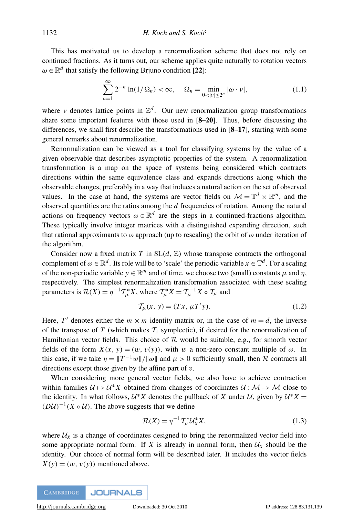This has motivated us to develop a renormalization scheme that does not rely on continued fractions. As it turns out, our scheme applies quite naturally to rotation vectors  $\omega \in \mathbb{R}^d$  that satisfy the following Brjuno condition [[22](#page-15-5)]:

<span id="page-1-2"></span>
$$
\sum_{n=1}^{\infty} 2^{-n} \ln(1/\Omega_n) < \infty, \quad \Omega_n = \min_{0 < |v| \le 2^n} |\omega \cdot v|,\tag{1.1}
$$

where v denotes lattice points in  $\mathbb{Z}^d$ . Our new renormalization group transformations share some important features with those used in [[8–](#page-14-4)[20](#page-15-8)]. Thus, before discussing the differences, we shall first describe the transformations used in [[8–](#page-14-4)[17](#page-15-4)], starting with some general remarks about renormalization.

Renormalization can be viewed as a tool for classifying systems by the value of a given observable that describes asymptotic properties of the system. A renormalization transformation is a map on the space of systems being considered which contracts directions within the same equivalence class and expands directions along which the observable changes, preferably in a way that induces a natural action on the set of observed values. In the case at hand, the systems are vector fields on  $\mathcal{M} = \mathbb{T}^d \times \mathbb{R}^m$ , and the observed quantities are the ratios among the *d* frequencies of rotation. Among the natural actions on frequency vectors  $\omega \in \mathbb{R}^d$  are the steps in a continued-fractions algorithm. These typically involve integer matrices with a distinguished expanding direction, such that rational approximants to  $\omega$  approach (up to rescaling) the orbit of  $\omega$  under iteration of the algorithm.

Consider now a fixed matrix *T* in  $SL(d, \mathbb{Z})$  whose transpose contracts the orthogonal complement of  $\omega \in \mathbb{R}^d$ . Its role will be to 'scale' the periodic variable  $x \in \mathbb{T}^d$ . For a scaling of the non-periodic variable  $y \in \mathbb{R}^m$  and of time, we choose two (small) constants  $\mu$  and  $\eta$ , respectively. The simplest renormalization transformation associated with these scaling parameters is  $\mathcal{R}(X) = \eta^{-1} \mathcal{T}_{\mu}^* X$ , where  $\mathcal{T}_{\mu}^* X = \mathcal{T}_{\mu}^{-1} X \circ \mathcal{T}_{\mu}$  and

<span id="page-1-0"></span>
$$
\mathcal{T}_{\mu}(x,\,y) = (Tx,\,\mu T'y). \tag{1.2}
$$

Here, *T'* denotes either the  $m \times m$  identity matrix or, in the case of  $m = d$ , the inverse of the transpose of  $T$  (which makes  $T_1$  symplectic), if desired for the renormalization of Hamiltonian vector fields. This choice of  $R$  would be suitable, e.g., for smooth vector fields of the form  $X(x, y) = (w, v(y))$ , with w a non-zero constant multiple of  $\omega$ . In this case, if we take  $\eta = ||T^{-1}w||/||\omega||$  and  $\mu > 0$  sufficiently small, then R contracts all directions except those given by the affine part of  $v$ .

When considering more general vector fields, we also have to achieve contraction within families  $\mathcal{U} \mapsto \mathcal{U}^*X$  obtained from changes of coordinates  $\mathcal{U} : \mathcal{M} \to \mathcal{M}$  close to the identity. In what follows,  $U^*X$  denotes the pullback of *X* under *U*, given by  $U^*X =$  $(DU)^{-1}(X \circ U)$ . The above suggests that we define

<span id="page-1-1"></span>
$$
\mathcal{R}(X) = \eta^{-1} \mathcal{I}_{\mu}^* \mathcal{U}_X^* X,\tag{1.3}
$$

where  $U_X$  is a change of coordinates designed to bring the renormalized vector field into some appropriate normal form. If *X* is already in normal form, then  $U_X$  should be the identity. Our choice of normal form will be described later. It includes the vector fields  $X(y) = (w, v(y))$  mentioned above.

**JOURNALS CAMBRIDGE**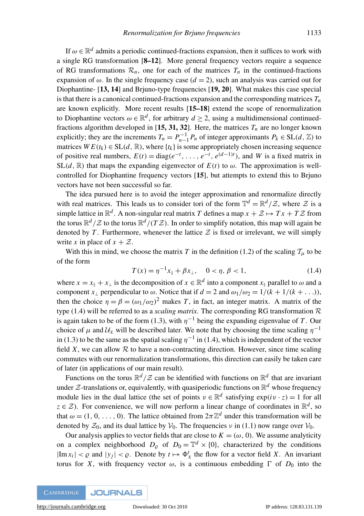If  $\omega \in \mathbb{R}^d$  admits a periodic continued-fractions expansion, then it suffices to work with a single RG transformation [[8–](#page-14-4)[12](#page-14-5)]. More general frequency vectors require a sequence of RG transformations  $\mathcal{R}_n$ , one for each of the matrices  $T_n$  in the continued-fractions expansion of  $\omega$ . In the single frequency case ( $d = 2$ ), such an analysis was carried out for Diophantine- [[13,](#page-15-2) [14](#page-15-9)] and Brjuno-type frequencies [[19,](#page-15-10) [20](#page-15-8)]. What makes this case special is that there is a canonical continued-fractions expansion and the corresponding matrices  $T<sub>n</sub>$ are known explicitly. More recent results [[15](#page-15-7)[–18](#page-15-3)] extend the scope of renormalization to Diophantine vectors  $\omega \in \mathbb{R}^d$ , for arbitrary  $d \geq 2$ , using a multidimensional continuedfractions algorithm developed in  $[15, 31, 32]$  $[15, 31, 32]$  $[15, 31, 32]$  $[15, 31, 32]$  $[15, 31, 32]$  $[15, 31, 32]$  $[15, 31, 32]$ . Here, the matrices  $T<sub>n</sub>$  are no longer known explicitly; they are the increments  $T_n = P_{n-1}^{-1} P_n$  of integer approximants  $P_k \in SL(d, \mathbb{Z})$  to matrices  $WE(t_k) \in SL(d, \mathbb{R})$ , where  $\{t_k\}$  is some appropriately chosen increasing sequence of positive real numbers,  $E(t) = \text{diag}(e^{-t}, \dots, e^{-t}, e^{(d-1)t})$ , and *W* is a fixed matrix in  $SL(d, \mathbb{R})$  that maps the expanding eigenvector of  $E(t)$  to  $\omega$ . The approximation is wellcontrolled for Diophantine frequency vectors [[15](#page-15-7)], but attempts to extend this to Brjuno vectors have not been successful so far.

The idea pursued here is to avoid the integer approximation and renormalize directly with real matrices. This leads us to consider tori of the form  $\mathbb{T}^d = \mathbb{R}^d / Z$ , where Z is a simple lattice in  $\mathbb{R}^d$ . A non-singular real matrix *T* defines a map  $x + \mathcal{Z} \mapsto Tx + T\mathcal{Z}$  from the torus  $\mathbb{R}^d/\mathcal{Z}$  to the torus  $\mathbb{R}^d/(T\mathcal{Z})$ . In order to simplify notation, this map will again be denoted by T. Furthermore, whenever the lattice  $\mathcal Z$  is fixed or irrelevant, we will simply write *x* in place of  $x + Z$ .

With this in mind, we choose the matrix *T* in the definition [\(1.2\)](#page-1-0) of the scaling  $T_{\mu}$  to be of the form

<span id="page-2-0"></span>
$$
T(x) = \eta^{-1} x_{\parallel} + \beta x_{\perp}, \quad 0 < \eta, \beta < 1,\tag{1.4}
$$

where  $x = x_{\parallel} + x_{\perp}$  is the decomposition of  $x \in \mathbb{R}^d$  into a component  $x_{\parallel}$  parallel to  $\omega$  and a component *x*<sub>⊥</sub> perpendicular to  $\omega$ . Notice that if  $d = 2$  and  $\omega_1/\omega_2 = 1/(k + 1/(k + ...)$ , then the choice  $\eta = \beta = (\omega_1/\omega_2)^2$  makes *T*, in fact, an integer matrix. A matrix of the type [\(1.4\)](#page-2-0) will be referred to as a *scaling matrix*. The corresponding RG transformation  $\mathcal{R}$ is again taken to be of the form [\(1.3\)](#page-1-1), with  $\eta^{-1}$  being the expanding eigenvalue of *T*. Our choice of  $\mu$  and  $\mathcal{U}_X$  will be described later. We note that by choosing the time scaling  $\eta^{-1}$ in [\(1.3\)](#page-1-1) to be the same as the spatial scaling  $\eta^{-1}$  in [\(1.4\)](#page-2-0), which is independent of the vector field  $X$ , we can allow  $R$  to have a non-contracting direction. However, since time scaling commutes with our renormalization transformations, this direction can easily be taken care of later (in applications of our main result).

Functions on the torus  $\mathbb{R}^d/\mathcal{Z}$  can be identified with functions on  $\mathbb{R}^d$  that are invariant under  $\mathcal{Z}$ -translations or, equivalently, with quasiperiodic functions on  $\mathbb{R}^d$  whose frequency module lies in the dual lattice (the set of points  $v \in \mathbb{R}^d$  satisfying  $exp(i v \cdot z) = 1$  for all  $z \in \mathcal{Z}$ ). For convenience, we will now perform a linear change of coordinates in  $\mathbb{R}^d$ , so that  $\omega = (1, 0, \ldots, 0)$ . The lattice obtained from  $2\pi \mathbb{Z}^d$  under this transformation will be denoted by  $\mathcal{Z}_0$ , and its dual lattice by  $\mathcal{V}_0$ . The frequencies v in [\(1.1\)](#page-1-2) now range over  $\mathcal{V}_0$ .

Our analysis applies to vector fields that are close to  $K = (\omega, 0)$ . We assume analyticity on a complex neighborhood  $D_{\varrho}$  of  $D_0 = \mathbb{T}^d \times \{0\}$ , characterized by the conditions  $|\text{Im } x_i| < \varrho$  and  $|y_j| < \varrho$ . Denote by  $t \mapsto \Phi^t_X$  the flow for a vector field *X*. An invariant torus for *X*, with frequency vector  $\omega$ , is a continuous embedding  $\Gamma$  of  $D_0$  into the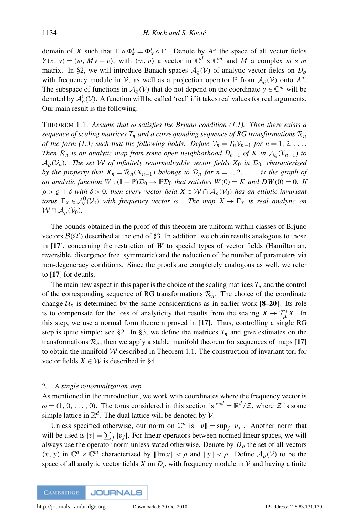domain of *X* such that  $\Gamma \circ \Phi_K^t = \Phi_X^t \circ \Gamma$ . Denote by  $A^u$  the space of all vector fields  $Y(x, y) = (w, My + v)$ , with  $(w, v)$  a vector in  $\mathbb{C}^d \times \mathbb{C}^m$  and M a complex  $m \times m$ matrix. In [§2,](#page-3-0) we will introduce Banach spaces  $A_{\varrho}(\mathcal{V})$  of analytic vector fields on  $D_{\varrho}$ with frequency module in V, as well as a projection operator  $\mathbb P$  from  $\mathcal A_{\varrho}(\mathcal V)$  onto  $A^u$ . The subspace of functions in  $\mathcal{A}_{\varrho}(\mathcal{V})$  that do not depend on the coordinate  $y \in \mathbb{C}^m$  will be denoted by  $\mathcal{A}_{\varrho}^{0}(\mathcal{V})$ . A function will be called 'real' if it takes real values for real arguments. Our main result is the following.

<span id="page-3-1"></span>THEOREM 1.1. Assume that  $\omega$  satisfies the Brjuno condition [\(1.1\)](#page-1-2). Then there exists a *sequence of scaling matrices*  $T_n$  *and a corresponding sequence of RG transformations*  $\mathcal{R}_n$ *of the form [\(1.3\)](#page-1-1) such that the following holds. Define*  $V_n = T_n V_{n-1}$  *for*  $n = 1, 2, \ldots$ *Then*  $\mathcal{R}_n$  *is an analytic map from some open neighborhood*  $\mathcal{D}_{n-1}$  *of* K *in*  $\mathcal{A}_{\rho}(\mathcal{V}_{n-1})$  *to*  $A_0(V_n)$ . The set W of infinitely renormalizable vector fields  $X_0$  in  $\mathcal{D}_0$ , characterized *by the property that*  $X_n = \mathcal{R}_n(X_{n-1})$  *belongs to*  $\mathcal{D}_n$  *for*  $n = 1, 2, \ldots$ , *is the graph of an analytic function*  $W : (\mathbb{I} - \mathbb{P})\mathcal{D}_0 \to \mathbb{P}\mathcal{D}_0$  *that satisfies*  $W(0) = K$  *and*  $DW(0) = 0$ *. If*  $\rho > \rho + \delta$  with  $\delta > 0$ , then every vector field  $X \in \mathcal{W} \cap A_{\rho}(\mathcal{V}_0)$  has an elliptic invariant *torus*  $\Gamma_X \in \mathcal{A}_{\delta}^0(\mathcal{V}_0)$  *with frequency vector*  $\omega$ *. The map*  $X \mapsto \Gamma_X$  *is real analytic on*  $W \cap A_{\alpha}(V_0)$ .

The bounds obtained in the proof of this theorem are uniform within classes of Brjuno vectors  $\mathcal{B}(\Omega')$  described at the end of [§3.](#page-8-0) In addition, we obtain results analogous to those in [[17](#page-15-4)], concerning the restriction of *W* to special types of vector fields (Hamiltonian, reversible, divergence free, symmetric) and the reduction of the number of parameters via non-degeneracy conditions. Since the proofs are completely analogous as well, we refer to [[17](#page-15-4)] for details.

The main new aspect in this paper is the choice of the scaling matrices  $T<sub>n</sub>$  and the control of the corresponding sequence of RG transformations  $\mathcal{R}_n$ . The choice of the coordinate change  $U_X$  is determined by the same considerations as in earlier work  $[8-20]$  $[8-20]$  $[8-20]$ . Its role is to compensate for the loss of analyticity that results from the scaling  $X \mapsto T^*_{\mu}X$ . In this step, we use a normal form theorem proved in [[17](#page-15-4)]. Thus, controlling a single RG step is quite simple; see [§2.](#page-3-0) In [§3,](#page-8-0) we define the matrices  $T<sub>n</sub>$  and give estimates on the transformations  $\mathcal{R}_n$ ; then we apply a stable manifold theorem for sequences of maps [[17](#page-15-4)] to obtain the manifold  $W$  described in Theorem [1.1.](#page-3-1) The construction of invariant tori for vector fields  $X \in \mathcal{W}$  is described in [§4.](#page-11-0)

#### <span id="page-3-0"></span>2. *A single renormalization step*

As mentioned in the introduction, we work with coordinates where the frequency vector is  $\omega = (1, 0, \ldots, 0)$ . The torus considered in this section is  $\mathbb{T}^d = \mathbb{R}^d / Z$ , where Z is some simple lattice in  $\mathbb{R}^d$ . The dual lattice will be denoted by  $\mathcal{V}$ .

Unless specified otherwise, our norm on  $\mathbb{C}^n$  is  $||v|| = \sup_j |v_j|$ . Another norm that will be used is  $|v| = \sum_j |v_j|$ . For linear operators between normed linear spaces, we will always use the operator norm unless stated otherwise. Denote by  $D<sub>\rho</sub>$  the set of all vectors  $(x, y)$  in  $\mathbb{C}^d \times \mathbb{C}^m$  characterized by  $\|\text{Im } x\| < \rho$  and  $\|y\| < \rho$ . Define  $\mathcal{A}_{\rho}(\mathcal{V})$  to be the space of all analytic vector fields *X* on  $D<sub>\rho</sub>$  with frequency module in *V* and having a finite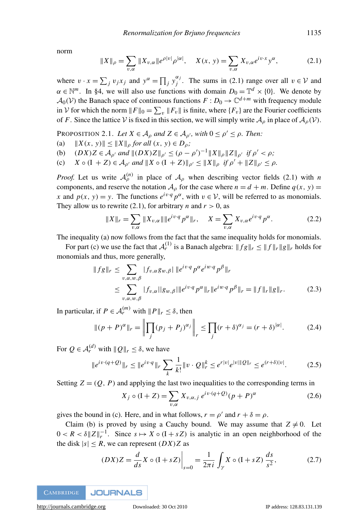norm

<span id="page-4-0"></span>
$$
||X||_{\rho} = \sum_{v,\alpha} ||X_{v,\alpha}||e^{\rho|v|} \rho^{|\alpha|}, \quad X(x, y) = \sum_{v,\alpha} X_{v,\alpha} e^{iv \cdot x} y^{\alpha}, \tag{2.1}
$$

where  $v \cdot x = \sum_j v_j x_j$  and  $y^\alpha = \prod_j y_j^{\alpha_j}$  $j^{\alpha_j}$ . The sums in [\(2.1\)](#page-4-0) range over all  $v \in V$  and  $\alpha \in \mathbb{N}^m$ . In [§4,](#page-11-0) we will also use functions with domain  $D_0 = \mathbb{T}^d \times \{0\}$ . We denote by  $A_0(V)$  the Banach space of continuous functions  $F: D_0 \to \mathbb{C}^{d+m}$  with frequency module in V for which the norm  $||F||_0 = \sum_v ||F_v||$  is finite, where  $\{F_v\}$  are the Fourier coefficients of *F*. Since the lattice V is fixed in this section, we will simply write  $A_{\rho}$  in place of  $A_{\rho}(\mathcal{V})$ .

<span id="page-4-1"></span>PROPOSITION 2.1. *Let*  $X \in A_\rho$  and  $Z \in A_{\rho'}$ , with  $0 \le \rho' \le \rho$ . *Then:* 

- (a)  $||X(x, y)|| \le ||X||_0$  *for all*  $(x, y) \in D_0$ ;
- (b)  $(DX)Z \in \mathcal{A}_{\rho'}$  and  $||(DX)Z||_{\rho'} \leq (\rho \rho')^{-1}||X||_{\rho}||Z||_{\rho'}$  if  $\rho' < \rho$ ;
- (c)  $X \circ (I + Z) \in \mathcal{A}_{\rho'}$  and  $||X \circ (I + Z)||_{\rho'} \le ||X||_{\rho}$  if  $\rho' + ||Z||_{\rho'} \le \rho$ .

*Proof.* Let us write  $A_{\rho}^{(n)}$  in place of  $A_{\rho}$  when describing vector fields [\(2.1\)](#page-4-0) with *n* components, and reserve the notation  $A_0$  for the case where  $n = d + m$ . Define  $q(x, y) =$ *x* and  $p(x, y) = y$ . The functions  $e^{iv \cdot q} p^{\alpha}$ , with  $v \in V$ , will be referred to as monomials. They allow us to rewrite [\(2.1\)](#page-4-0), for arbitrary *n* and  $r > 0$ , as

$$
||X||_{r} = \sum_{v,\alpha} ||X_{v,\alpha}|| ||e^{iv\cdot q} p^{\alpha}||_{r}, \quad X = \sum_{v,\alpha} X_{v,\alpha} e^{iv\cdot q} p^{\alpha}.
$$
 (2.2)

The inequality (a) now follows from the fact that the same inequality holds for monomials.

For part (c) we use the fact that  $A_r^{(1)}$  is a Banach algebra:  $||fg||_r \le ||f||_r ||g||_r$  holds for monomials and thus, more generally,

$$
||fg||_r \leq \sum_{v,\alpha,w,\beta} |f_{v,\alpha}g_{w,\beta}| \, ||e^{iv\cdot q} p^{\alpha} e^{iw\cdot q} p^{\beta}||_r
$$
  

$$
\leq \sum_{v,\alpha,w,\beta} |f_{v,\alpha}| |g_{w,\beta}| ||e^{iv\cdot q} p^{\alpha}||_r ||e^{iw\cdot q} p^{\beta}||_r = ||f||_r ||g||_r.
$$
 (2.3)

In particular, if  $P \in \mathcal{A}_r^{(m)}$  with  $||P||_r \leq \delta$ , then

$$
\|(p+P)^{\alpha}\|_{r} = \left\|\prod_{j} (p_{j} + P_{j})^{\alpha_{j}}\right\|_{r} \le \prod_{j} (r+\delta)^{\alpha_{j}} = (r+\delta)^{|\alpha|}.
$$
 (2.4)

For  $Q \in \mathcal{A}_r^{(d)}$  with  $||Q||_r \leq \delta$ , we have

$$
||e^{iv\cdot(q+Q)}||_r \le ||e^{iv\cdot q}||_r \sum_k \frac{1}{k!} ||v \cdot Q||_r^k \le e^{r|v|} e^{|v||Q||_r} \le e^{(r+\delta)|v|}.
$$
 (2.5)

Setting  $Z = (Q, P)$  and applying the last two inequalities to the corresponding terms in

$$
X_j \circ (I + Z) = \sum_{v, \alpha} X_{v, \alpha, j} e^{iv \cdot (q + Q)} (p + P)^{\alpha}
$$
 (2.6)

gives the bound in (c). Here, and in what follows,  $r = \rho'$  and  $r + \delta = \rho$ .

Claim (b) is proved by using a Cauchy bound. We may assume that  $Z \neq 0$ . Let  $0 < R < \delta ||Z||_r^{-1}$ . Since  $s \mapsto X \circ (I + sZ)$  is analytic in an open neighborhood of the the disk  $|s| \le R$ , we can represent  $(DX)Z$  as

$$
(DX)Z = \frac{d}{ds}X \circ (I + sZ)\Big|_{s=0} = \frac{1}{2\pi i} \int_{\gamma} X \circ (I + sZ) \frac{ds}{s^2},
$$
 (2.7)

**CAMBRIDGE JOURNALS** 

[http://journals.cambridge.org](http://www.journals.cambridge.org) Downloaded: 30 Oct 2010 IP address: 128.83.131.139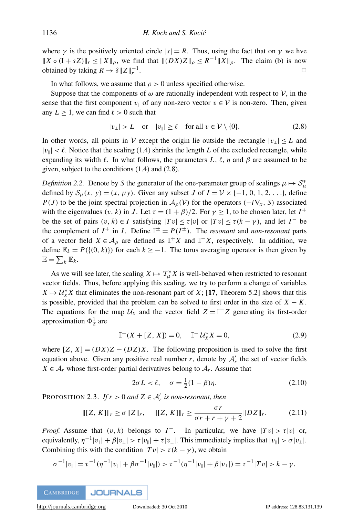where  $\gamma$  is the positively oriented circle  $|s| = R$ . Thus, using the fact that on  $\gamma$  we hve  $||X \circ (I + sZ)||_r \le ||X||_\rho$ , we find that  $||(DX)Z||_\rho \le R^{-1}||X||_\rho$ . The claim (b) is now obtained by taking  $R \to \delta ||Z||_r^{-1}$ .  $\Box$ 

In what follows, we assume that  $\rho > 0$  unless specified otherwise.

Suppose that the components of  $\omega$  are rationally independent with respect to  $\mathcal{V}$ , in the sense that the first component  $v_{\parallel}$  of any non-zero vector  $v \in V$  is non-zero. Then, given any  $L \geq 1$ , we can find  $\ell > 0$  such that

<span id="page-5-0"></span>
$$
|v_{\perp}| > L \quad \text{or} \quad |v_{\parallel}| \ge \ell \quad \text{for all } v \in \mathcal{V} \setminus \{0\}. \tag{2.8}
$$

In other words, all points in  $\mathcal V$  except the origin lie outside the rectangle  $|v_{\perp}| \leq L$  and  $|v_{\parallel}| < \ell$ . Notice that the scaling [\(1.4\)](#page-2-0) shrinks the length *L* of the excluded rectangle, while expanding its width  $\ell$ . In what follows, the parameters *L*,  $\ell$ ,  $\eta$  and  $\beta$  are assumed to be given, subject to the conditions [\(1.4\)](#page-2-0) and [\(2.8\)](#page-5-0).

*Definition 2.2.* Denote by *S* the generator of the one-parameter group of scalings  $\mu \mapsto S^*_{\mu}$ defined by  $S_u(x, y) = (x, \mu y)$ . Given any subset *J* of  $I = V \times \{-1, 0, 1, 2, \ldots\}$ , define *P*(*J*) to be the joint spectral projection in  $A_0(V)$  for the operators (−*i* $\nabla$ *x*, *S*) associated with the eigenvalues  $(v, k)$  in *J*. Let  $\tau = (1 + \beta)/2$ . For  $\gamma \ge 1$ , to be chosen later, let  $I^+$ be the set of pairs  $(v, k) \in I$  satisfying  $|Tv| \leq \tau |v|$  or  $|Tv| \leq \tau (k - \gamma)$ , and let  $I^-$  be the complement of  $I^+$  in *I*. Define  $I^{\pm} = P(I^{\pm})$ . The *resonant* and *non-resonant* parts of a vector field  $X \in A_\rho$  are defined as  $\mathbb{I}^+X$  and  $\mathbb{I}^-X$ , respectively. In addition, we define  $\mathbb{E}_k = P({(0, k)}$ ) for each  $k ≥ -1$ . The torus averaging operator is then given by  $\mathbb{E} = \sum_k \mathbb{E}_k$ .

As we will see later, the scaling  $X \mapsto T^*_{\mu}X$  is well-behaved when restricted to resonant vector fields. Thus, before applying this scaling, we try to perform a change of variables  $X \mapsto U^*_X X$  that eliminates the non-resonant part of *X*; [[17](#page-15-4), Theorem 5.2] shows that this is possible, provided that the problem can be solved to first order in the size of  $X - K$ . The equations for the map  $U_X$  and the vector field  $Z = \mathbb{I}^- Z$  generating its first-order approximation  $\Phi^1_Z$  are

<span id="page-5-3"></span>
$$
\mathbb{I}^-(X + [Z, X]) = 0, \quad \mathbb{I}^- \mathcal{U}_X^* X = 0,
$$
\n(2.9)

where  $[Z, X] = (DX)Z - (DZ)X$ . The following proposition is used to solve the first equation above. Given any positive real number  $r$ , denote by  $A'_r$  the set of vector fields  $X \in \mathcal{A}_r$  whose first-order partial derivatives belong to  $\mathcal{A}_r$ . Assume that

<span id="page-5-1"></span>
$$
2\sigma L < \ell, \quad \sigma = \frac{1}{2}(1-\beta)\eta. \tag{2.10}
$$

PROPOSITION 2.3. If  $r > 0$  and  $Z \in \mathcal{A}'_r$  is non-resonant, then

<span id="page-5-2"></span>
$$
\|[Z, K]\|_{r} \ge \sigma \|Z\|_{r}, \quad \|[Z, K]\|_{r} \ge \frac{\sigma r}{\sigma r + r + \gamma + 2} \|DZ\|_{r}.
$$
 (2.11)

*Proof.* Assume that  $(v, k)$  belongs to  $I^-$ . In particular, we have  $|Tv| > \tau |v|$  or, equivalently,  $\eta^{-1}|v_{\parallel}| + \beta |v_{\perp}| > \tau |v_{\parallel}| + \tau |v_{\perp}|$ . This immediately implies that  $|v_{\parallel}| > \sigma |v_{\perp}|$ . Combining this with the condition  $|Tv| > \tau (k - \gamma)$ , we obtain

$$
\sigma^{-1}|v_{\parallel}| = \tau^{-1}(\eta^{-1}|v_{\parallel}| + \beta \sigma^{-1}|v_{\parallel}|) > \tau^{-1}(\eta^{-1}|v_{\parallel}| + \beta|v_{\perp}|) = \tau^{-1}|Tv| > k - \gamma.
$$

**JOURNALS CAMBRIDGE**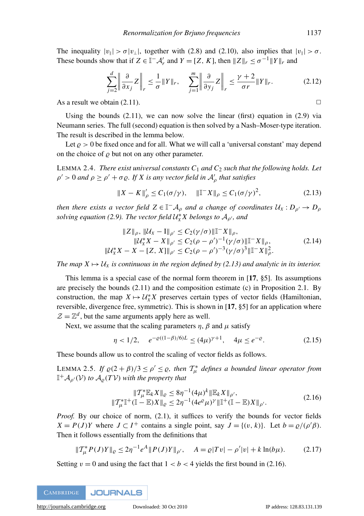The inequality  $|v_{\parallel}| > \sigma |v_{\perp}|$ , together with [\(2.8\)](#page-5-0) and [\(2.10\)](#page-5-1), also implies that  $|v_{\parallel}| > \sigma$ . These bounds show that if  $Z \in \mathbb{I}^- \mathcal{A}'_r$  and  $Y = [Z, K]$ , then  $||Z||_r \le \sigma^{-1} ||Y||_r$  and

$$
\sum_{j=2}^{d} \left\| \frac{\partial}{\partial x_j} Z \right\|_r \le \frac{1}{\sigma} \|Y\|_r, \quad \sum_{j=1}^{m} \left\| \frac{\partial}{\partial y_j} Z \right\|_r \le \frac{\gamma+2}{\sigma r} \|Y\|_r. \tag{2.12}
$$

As a result we obtain  $(2.11)$ .

Using the bounds  $(2.11)$ , we can now solve the linear (first) equation in  $(2.9)$  via Neumann series. The full (second) equation is then solved by a Nash–Moser-type iteration. The result is described in the lemma below.

Let  $\rho > 0$  be fixed once and for all. What we will call a 'universal constant' may depend on the choice of  $\varrho$  but not on any other parameter.

<span id="page-6-5"></span>LEMMA 2.4. *There exist universal constants C*<sup>1</sup> *and C*<sup>2</sup> *such that the following holds. Let*  $\rho' > 0$  and  $\rho \ge \rho' + \sigma \varrho$ . If X is any vector field in  $\mathcal{A}'_{\rho}$  that satisfies

<span id="page-6-0"></span>
$$
||X - K||_{\rho}' \le C_1(\sigma/\gamma), \quad ||T^-X||_{\rho} \le C_1(\sigma/\gamma)^2,
$$
 (2.13)

*then there exists a vector field*  $Z \in \mathbb{I}^- \mathcal{A}_{\rho}$  and a change of coordinates  $\mathcal{U}_X : D_{\rho'} \to D_{\rho'}$ solving equation [\(2.9\)](#page-5-3). The vector field  $\mathcal{U}_X^* X$  belongs to  $\mathcal{A}_{\rho'}$ , and

<span id="page-6-4"></span>
$$
||Z||_{\rho}, ||U_X - I||_{\rho'} \le C_2(\gamma/\sigma) ||\mathbb{T}^{-}X||_{\rho},
$$
  
\n
$$
||U_X^*X - X||_{\rho'} \le C_2(\rho - \rho')^{-1}(\gamma/\sigma) ||\mathbb{T}^{-}X||_{\rho},
$$
  
\n
$$
||U_X^*X - X - [Z, X]||_{\rho'} \le C_2(\rho - \rho')^{-3}(\gamma/\sigma)^3 ||\mathbb{T}^{-}X||_{\rho}^2.
$$
\n(2.14)

*The map*  $X \mapsto U_X$  *is continuous in the region defined by [\(2.13\)](#page-6-0)* and analytic in its interior.

This lemma is a special case of the normal form theorem in [[17](#page-15-4), §5]. Its assumptions are precisely the bounds [\(2.11\)](#page-5-2) and the composition estimate (c) in Proposition [2.1.](#page-4-1) By construction, the map  $X \mapsto \mathcal{U}_X^* X$  preserves certain types of vector fields (Hamiltonian, reversible, divergence free, symmetric). This is shown in [[17](#page-15-4), §5] for an application where  $\mathcal{Z} = \mathbb{Z}^d$ , but the same arguments apply here as well.

Next, we assume that the scaling parameters  $\eta$ ,  $\beta$  and  $\mu$  satisfy

<span id="page-6-2"></span>
$$
\eta < 1/2, \quad e^{-\varrho((1-\beta)/6)L} \le (4\mu)^{\gamma+1}, \quad 4\mu \le e^{-\varrho}.\tag{2.15}
$$

These bounds allow us to control the scaling of vector fields as follows.

<span id="page-6-6"></span>LEMMA 2.5. If  $\varrho(2+\beta)/3 \leq \rho' \leq \varrho$ , then  $\mathcal{T}^*_{\mu}$  defines a bounded linear operator from  $\mathbb{I}^+\mathcal{A}_{\rho'}(\mathcal{V})$  to  $\mathcal{A}_{\varrho}(T\mathcal{V})$  with the property that

<span id="page-6-1"></span>
$$
\|T_{\mu}^{*}\mathbb{E}_{k}X\|_{\varrho} \le 8\eta^{-1}(4\mu)^{k}\|\mathbb{E}_{k}X\|_{\rho'},
$$
  

$$
\|T_{\mu}^{*}\|^{+}(\mathbb{I}-\mathbb{E})X\|_{\varrho} \le 2\eta^{-1}(4e^{\varrho}\mu)^{\gamma}\|\mathbb{I}^{+}(\mathbb{I}-\mathbb{E})X\|_{\rho'}.
$$
 (2.16)

*Proof.* By our choice of norm, [\(2.1\)](#page-4-0), it suffices to verify the bounds for vector fields  $X = P(J)Y$  where  $J \subset I^+$  contains a single point, say  $J = \{(v, k)\}\$ . Let  $b = \varrho/(\rho'\beta)$ . Then it follows essentially from the definitions that

<span id="page-6-3"></span>
$$
\|T_{\mu}^* P(J)Y\|_{\varrho} \le 2\eta^{-1} e^A \|P(J)Y\|_{\rho'}, \quad A = \varrho |Tv| - \rho'|v| + k \ln(b\mu). \tag{2.17}
$$

Setting  $v = 0$  and using the fact that  $1 < b < 4$  yields the first bound in [\(2.16\)](#page-6-1).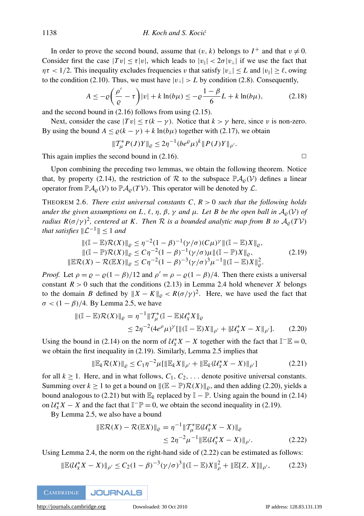In order to prove the second bound, assume that  $(v, k)$  belongs to  $I^+$  and that  $v \neq 0$ . Consider first the case  $|Tv| \leq \tau |v|$ , which leads to  $|v_{\parallel}| < 2\sigma |v_{\perp}|$  if we use the fact that  $\eta \tau < 1/2$ . This inequality excludes frequencies v that satisfy  $|v_\perp| \le L$  and  $|v_\parallel| \ge \ell$ , owing to the condition [\(2.10\)](#page-5-1). Thus, we must have  $|v_{\perp}| > L$  by condition [\(2.8\)](#page-5-0). Consequently,

$$
A \le -\varrho \left(\frac{\rho'}{\varrho} - \tau\right) |v| + k \ln(b\mu) \le -\varrho \frac{1-\beta}{6} L + k \ln(b\mu),\tag{2.18}
$$

and the second bound in [\(2.16\)](#page-6-1) follows from using [\(2.15\)](#page-6-2).

Next, consider the case  $|Tv| < \tau (k - \gamma)$ . Notice that  $k > \gamma$  here, since v is non-zero. By using the bound  $A \le \varrho (k - \gamma) + k \ln(b\mu)$  together with [\(2.17\)](#page-6-3), we obtain

$$
\|T_{\mu}^* P(J)Y\|_{\varrho} \leq 2\eta^{-1} (be^{\varrho} \mu)^k \|P(J)Y\|_{\rho'}.
$$

This again implies the second bound in  $(2.16)$ .  $\Box$ 

Upon combining the preceding two lemmas, we obtain the following theorem. Notice that, by property [\(2.14\)](#page-6-4), the restriction of R to the subspace  $\mathbb{P}A_0(\mathcal{V})$  defines a linear operator from  $\mathbb{P}_{A_{\rho}}(\mathcal{V})$  to  $\mathbb{P}_{A_{\rho}}(T\mathcal{V})$ . This operator will be denoted by  $\mathcal{L}$ .

<span id="page-7-4"></span>THEOREM 2.6. *There exist universal constants C*, *R* > 0 *such that the following holds under the given assumptions on L,*  $\ell$ *,*  $\eta$ *,*  $\beta$ *,*  $\gamma$  *<i>and*  $\mu$ *. Let B be the open ball in*  $\mathcal{A}_{\rho}(\mathcal{V})$  *of radius*  $R(\sigma/\gamma)^2$ , centered at K. Then R is a bounded analytic map from B to  $\mathcal{A}_{\varrho}(T\mathcal{V})$ that satisfies  $\|\mathcal{L}^{-1}\| \leq 1$  and

<span id="page-7-0"></span>
$$
\|(\mathbb{I} - \mathbb{E})\mathcal{R}(X)\|_{\varrho} \leq \eta^{-2} (1 - \beta)^{-1} (\gamma/\sigma) (C\mu)^{\gamma} \|(\mathbb{I} - \mathbb{E})X\|_{\varrho},
$$
  
 
$$
\|(\mathbb{I} - \mathbb{P})\mathcal{R}(X)\|_{\varrho} \leq C\eta^{-2} (1 - \beta)^{-1} (\gamma/\sigma) \mu \|(\mathbb{I} - \mathbb{P})X\|_{\varrho},
$$
  
 
$$
\|\mathbb{E}\mathcal{R}(X) - \mathcal{R}(\mathbb{E}X)\|_{\varrho} \leq C\eta^{-2} (1 - \beta)^{-3} (\gamma/\sigma)^{3} \mu^{-1} \|(\mathbb{I} - \mathbb{E})X\|_{\varrho}^{2}.
$$
 (2.19)

*Proof.* Let  $\rho = \rho - \rho (1 - \beta)/12$  and  $\rho' = \rho - \rho (1 - \beta)/4$ . Then there exists a universal constant  $R > 0$  such that the conditions [\(2.13\)](#page-6-0) in Lemma [2.4](#page-6-5) hold whenever *X* belongs to the domain *B* defined by  $||X - K||_{\varrho} < R(\sigma/\gamma)^2$ . Here, we have used the fact that  $\sigma$  <  $(1 - \beta)/4$ . By Lemma [2.5,](#page-6-6) we have

$$
\begin{aligned} \|\left(\mathbb{I} - \mathbb{E}\right) \mathcal{R}(X)\|_{\varrho} &= \eta^{-1} \|\mathcal{T}_{\mu}^* (\mathbb{I} - \mathbb{E}) \mathcal{U}_X^* X\|_{\varrho} \\ &\le 2\eta^{-2} (4e^{\rho} \mu)^{\gamma} [\|\left(\mathbb{I} - \mathbb{E}\right) X\|_{\rho'} + \|\mathcal{U}_X^* X - X\|_{\rho'}]. \end{aligned} \tag{2.20}
$$

Using the bound in [\(2.14\)](#page-6-4) on the norm of  $\mathcal{U}_X^* X - X$  together with the fact that  $\mathbb{I}^- \mathbb{E} = 0$ , we obtain the first inequality in [\(2.19\)](#page-7-0). Similarly, Lemma [2.5](#page-6-6) implies that

<span id="page-7-2"></span><span id="page-7-1"></span>
$$
\|\mathbb{E}_k \mathcal{R}(X)\|_{\varrho} \le C_1 \eta^{-2} \mu[\|\mathbb{E}_k X\|_{\rho'} + \|\mathbb{E}_k (U_X^* X - X)\|_{\rho'}] \tag{2.21}
$$

for all  $k \ge 1$ . Here, and in what follows,  $C_1, C_2, \ldots$  denote positive universal constants. Summing over  $k \ge 1$  to get a bound on  $\|(\mathbb{E} - \mathbb{P})\mathcal{R}(X)\|_{\rho}$ , and then adding [\(2.20\)](#page-7-1), yields a bound analogous to [\(2.21\)](#page-7-2) but with  $\mathbb{E}_k$  replaced by  $\mathbb{I} - \mathbb{P}$ . Using again the bound in [\(2.14\)](#page-6-4) on  $\mathcal{U}_X^* X - X$  and the fact that  $\mathbb{I}^- \mathbb{P} = 0$ , we obtain the second inequality in [\(2.19\)](#page-7-0).

By Lemma [2.5,](#page-6-6) we also have a bound

<span id="page-7-3"></span>
$$
\|\mathbb{E}\mathcal{R}(X) - \mathcal{R}(\mathbb{E}X)\|_{\varrho} = \eta^{-1} \|\mathcal{T}_{\mu}^*\mathbb{E}(\mathcal{U}_X^*X - X)\|_{\varrho} \leq 2\eta^{-2}\mu^{-1} \|\mathbb{E}(\mathcal{U}_X^*X - X)\|_{\rho'}.
$$
\n(2.22)

Using Lemma [2.4,](#page-6-5) the norm on the right-hand side of [\(2.22\)](#page-7-3) can be estimated as follows:

$$
\|\mathbb{E}(\mathcal{U}_X^* X - X)\|_{\rho'} \le C_2 (1 - \beta)^{-3} (\gamma / \sigma)^3 \|\|\mathbb{I} - \mathbb{E}X\|_{\rho}^2 + \|\mathbb{E}[Z, X]\|_{\rho'},\tag{2.23}
$$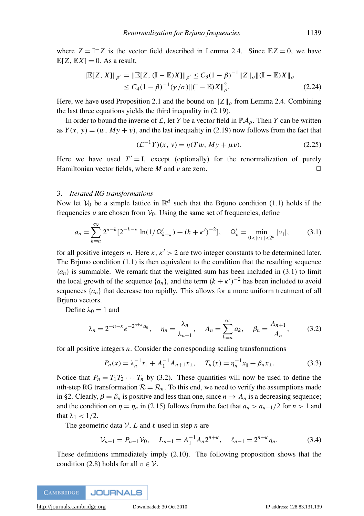where  $Z = \mathbb{I}^{-}Z$  is the vector field described in Lemma [2.4.](#page-6-5) Since  $\mathbb{E}Z = 0$ , we have  $\mathbb{E}[Z, \mathbb{E}X] = 0$ . As a result,

$$
\|\mathbb{E}[Z, X]\|_{\rho'} = \|\mathbb{E}[Z, (\mathbb{I} - \mathbb{E})X]\|_{\rho'} \le C_3 (1 - \beta)^{-1} \|Z\|_{\rho} \|(\mathbb{I} - \mathbb{E})X\|_{\rho} \le C_4 (1 - \beta)^{-1} (\gamma/\sigma) \|(\mathbb{I} - \mathbb{E})X\|_{\rho}^2.
$$
\n(2.24)

Here, we have used Proposition [2.1](#page-4-1) and the bound on  $\|Z\|_{\rho}$  from Lemma [2.4.](#page-6-5) Combining the last three equations yields the third inequality in [\(2.19\)](#page-7-0).

In order to bound the inverse of  $\mathcal{L}$ , let *Y* be a vector field in  $\mathbb{P}\mathcal{A}_{\rho}$ . Then *Y* can be written as  $Y(x, y) = (w, My + v)$ , and the last inequality in [\(2.19\)](#page-7-0) now follows from the fact that

$$
(\mathcal{L}^{-1}Y)(x, y) = \eta(Tw, My + \mu v). \tag{2.25}
$$

Here we have used  $T' = I$ , except (optionally) for the renormalization of purely Hamiltonian vector fields, where *M* and *v* are zero.  $\Box$ 

### <span id="page-8-0"></span>3. *Iterated RG transformations*

Now let  $V_0$  be a simple lattice in  $\mathbb{R}^d$  such that the Brjuno condition [\(1.1\)](#page-1-2) holds if the frequencies  $\nu$  are chosen from  $V_0$ . Using the same set of frequencies, define

<span id="page-8-1"></span>
$$
a_n = \sum_{k=n}^{\infty} 2^{n-k} [2^{-k-\kappa} \ln(1/\Omega'_{k+\kappa}) + (k+\kappa')^{-2}], \quad \Omega'_n = \min_{0 < |\nu_{\perp}| < 2^n} |\nu_{\parallel}|,\tag{3.1}
$$

for all positive integers *n*. Here  $\kappa$ ,  $\kappa' > 2$  are two integer constants to be determined later. The Brjuno condition  $(1.1)$  is then equivalent to the condition that the resulting sequence  ${a_n}$  is summable. We remark that the weighted sum has been included in [\(3.1\)](#page-8-1) to limit the local growth of the sequence  $\{a_n\}$ , and the term  $(k + \kappa')^{-2}$  has been included to avoid sequences  $\{a_n\}$  that decrease too rapidly. This allows for a more uniform treatment of all Brjuno vectors.

Define  $\lambda_0 = 1$  and

<span id="page-8-2"></span>
$$
\lambda_n = 2^{-n-\kappa} e^{-2^{n+\kappa} a_n}, \quad \eta_n = \frac{\lambda_n}{\lambda_{n-1}}, \quad A_n = \sum_{k=n}^{\infty} a_k, \quad \beta_n = \frac{A_{n+1}}{A_n},
$$
\n(3.2)

for all positive integers *n*. Consider the corresponding scaling transformations

$$
P_n(x) = \lambda_n^{-1} x_{\parallel} + A_1^{-1} A_{n+1} x_{\perp}, \quad T_n(x) = \eta_n^{-1} x_{\parallel} + \beta_n x_{\perp}.
$$
 (3.3)

Notice that  $P_n = T_1 T_2 \cdots T_n$  by [\(3.2\)](#page-8-2). These quantities will now be used to define the *n*th-step RG transformation  $\mathcal{R} = \mathcal{R}_n$ . To this end, we need to verify the assumptions made in [§2.](#page-3-0) Clearly,  $\beta = \beta_n$  is positive and less than one, since  $n \mapsto A_n$  is a decreasing sequence; and the condition on  $\eta = \eta_n$  in [\(2.15\)](#page-6-2) follows from the fact that  $a_n > a_{n-1}/2$  for  $n > 1$  and that  $\lambda_1$  < 1/2.

The geometric data  $V$ , L and  $\ell$  used in step *n* are

$$
\mathcal{V}_{n-1} = P_{n-1} \mathcal{V}_0, \quad L_{n-1} = A_1^{-1} A_n 2^{n+\kappa}, \quad \ell_{n-1} = 2^{n+\kappa} \eta_n. \tag{3.4}
$$

These definitions immediately imply [\(2.10\)](#page-5-1). The following proposition shows that the condition [\(2.8\)](#page-5-0) holds for all  $v \in V$ .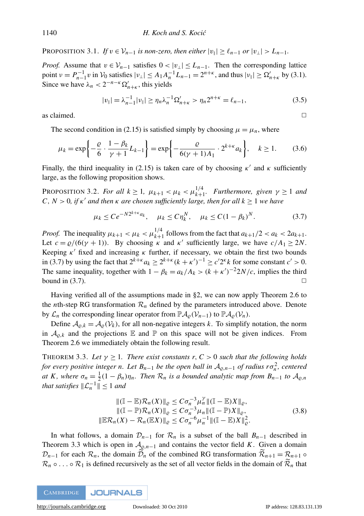PROPOSITION 3.1. *If*  $v \in V_{n-1}$  *is non-zero, then either*  $|v_{\parallel}| \ge \ell_{n-1}$  *or*  $|v_{\perp}| > L_{n-1}$ *.* 

*Proof.* Assume that  $v \in V_{n-1}$  satisfies  $0 < |v_\perp| \le L_{n-1}$ . Then the corresponding lattice point  $\nu = P_{n-1}^{-1} \nu$  in  $V_0$  satisfies  $|\nu_{\perp}| \leq A_1 A_n^{-1} L_{n-1} = 2^{n+\kappa}$ , and thus  $|\nu_{\parallel}| \geq \Omega'_{n+\kappa}$  by [\(3.1\)](#page-8-1). Since we have  $\lambda_n < 2^{-n-k} \Omega'_{n+k}$ , this yields

$$
|v_{\parallel}| = \lambda_{n-1}^{-1} |v_{\parallel}| \ge \eta_n \lambda_n^{-1} \Omega'_{n+\kappa} > \eta_n 2^{n+\kappa} = \ell_{n-1},
$$
\n(3.5)

as claimed.  $\Box$ 

The second condition in [\(2.15\)](#page-6-2) is satisfied simply by choosing  $\mu = \mu_n$ , where

$$
\mu_k = \exp\left\{-\frac{\varrho}{6} \cdot \frac{1 - \beta_k}{\gamma + 1} L_{k-1}\right\} = \exp\left\{-\frac{\varrho}{6(\gamma + 1)A_1} \cdot 2^{k + \kappa} a_k\right\}, \quad k \ge 1.
$$
 (3.6)

Finally, the third inequality in [\(2.15\)](#page-6-2) is taken care of by choosing  $\kappa'$  and  $\kappa$  sufficiently large, as the following proposition shows.

<span id="page-9-2"></span>PROPOSITION 3.2. *For all*  $k \ge 1$ ,  $\mu_{k+1} < \mu_k < \mu_{k+1}^{1/4}$ . *Furthermore, given*  $\gamma \ge 1$  *and*  $C, N > 0$ , if  $\kappa'$  and then  $\kappa$  are chosen sufficiently large, then for all  $k \geq 1$  we have

<span id="page-9-0"></span>
$$
\mu_k \le Ce^{-N2^{k+\kappa}a_k}, \quad \mu_k \le C\eta_k^N, \quad \mu_k \le C(1-\beta_k)^N. \tag{3.7}
$$

*Proof.* The inequality  $\mu_{k+1} < \mu_k < \mu_{k+1}^{1/4}$  follows from the fact that  $a_{k+1}/2 < a_k < 2a_{k+1}$ . Let  $c = \frac{\rho}{(6(\gamma + 1))}$ . By choosing  $\kappa$  and  $\kappa'$  sufficiently large, we have  $c/A_1 \geq 2N$ . Keeping  $\kappa'$  fixed and increasing  $\kappa$  further, if necessary, we obtain the first two bounds in [\(3.7\)](#page-9-0) by using the fact that  $2^{k+\kappa} a_k \ge 2^{k+\kappa} (k+\kappa')^{-1} \ge c' 2^{\kappa} k$  for some constant  $c' > 0$ . The same inequality, together with  $1 - \beta_k = a_k/A_k > (k + \kappa')^{-2}2N/c$ , implies the third bound in  $(3.7)$ .

Having verified all of the assumptions made in [§2,](#page-3-0) we can now apply Theorem [2.6](#page-7-4) to the *n*th-step RG transformation  $\mathcal{R}_n$  defined by the parameters introduced above. Denote by  $\mathcal{L}_n$  the corresponding linear operator from  $\mathbb{P}\mathcal{A}_{\rho}(\mathcal{V}_{n-1})$  to  $\mathbb{P}\mathcal{A}_{\rho}(\mathcal{V}_n)$ .

Define  $A_{\rho,k} = A_{\rho}(\mathcal{V}_k)$ , for all non-negative integers *k*. To simplify notation, the norm in  $A_{o,k}$  and the projections  $\mathbb E$  and  $\mathbb P$  on this space will not be given indices. From Theorem [2.6](#page-7-4) we immediately obtain the following result.

<span id="page-9-1"></span>THEOREM 3.3. Let  $\gamma \geq 1$ . There exist constants r,  $C > 0$  such that the following holds *for every positive integer n. Let*  $B_{n-1}$  *be the open ball in*  $A_{\varrho,n-1}$  *of radius r* $\sigma_n^2$ *, centered at K*, where  $\sigma_n = \frac{1}{2}(1 - \beta_n)\eta_n$ . Then  $\mathcal{R}_n$  is a bounded analytic map from  $B_{n-1}$  to  $\mathcal{A}_{\varrho,n}$ *that satisfies*  $\|\mathcal{L}_n^{-1}\| \leq 1$  *and* 

$$
\|(\mathbb{I} - \mathbb{E})\mathcal{R}_n(X)\|_{\varrho} \le C\sigma_n^{-3} \mu_n^{\gamma} \|(\mathbb{I} - \mathbb{E})X\|_{\varrho},
$$
  
 
$$
\|(\mathbb{I} - \mathbb{P})\mathcal{R}_n(X)\|_{\varrho} \le C\sigma_n^{-3} \mu_n \|(\mathbb{I} - \mathbb{P})X\|_{\varrho},
$$
  
 
$$
\|\mathbb{E}\mathcal{R}_n(X) - \mathcal{R}_n(\mathbb{E}X)\|_{\varrho} \le C\sigma_n^{-6} \mu_n^{-1} \|(\mathbb{I} - \mathbb{E})X\|_{\varrho}^2.
$$
 (3.8)

In what follows, a domain  $\mathcal{D}_{n-1}$  for  $\mathcal{R}_n$  is a subset of the ball  $B_{n-1}$  described in Theorem [3.3](#page-9-1) which is open in  $\mathcal{A}_{\varrho,n-1}$  and contains the vector field *K*. Given a domain  $\mathcal{D}_{n-1}$  for each  $\mathcal{R}_n$ , the domain  $\mathcal{D}_n$  of the combined RG transformation  $\mathcal{R}_{n+1} = \mathcal{R}_{n+1} \circ$  $\mathcal{R}_n \circ \dots \circ \mathcal{R}_1$  is defined recursively as the set of all vector fields in the domain of  $\mathcal{R}_n$  that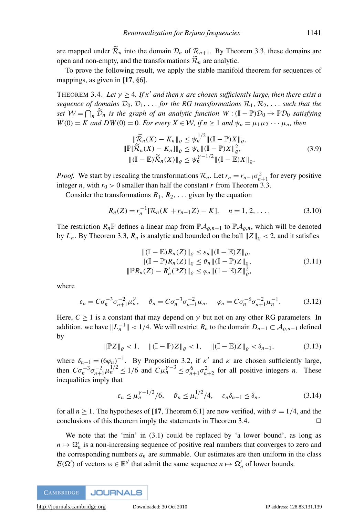are mapped under  $\widetilde{\mathcal{R}}_n$  into the domain  $\mathcal{D}_n$  of  $\mathcal{R}_{n+1}$ . By Theorem [3.3,](#page-9-1) these domains are open and non-empty, and the transformations  $\mathcal{R}_n$  are analytic.

To prove the following result, we apply the stable manifold theorem for sequences of mappings, as given in [[17](#page-15-4), §6].

<span id="page-10-0"></span>THEOREM 3.4. Let  $\gamma \geq 4$ . If  $\kappa'$  and then  $\kappa$  are chosen sufficiently large, then there exist a *sequence of domains*  $\mathcal{D}_0, \mathcal{D}_1, \ldots$  *for the RG transformations*  $\mathcal{R}_1, \mathcal{R}_2, \ldots$  *such that the set*  $W = \bigcap_n \widetilde{D}_n$  *is the graph of an analytic function*  $W : (\mathbb{I} - \mathbb{P})\mathcal{D}_0 \to \mathbb{P}\mathcal{D}_0$  *satisfying*  $W(0) = K$  *and*  $DW(0) = 0$ *. For every*  $X \in \mathcal{W}$ *, if*  $n \ge 1$  *and*  $\psi_n = \mu_1 \mu_2 \cdots \mu_n$ *, then* 

$$
\begin{aligned}\n\|\widetilde{\mathcal{R}}_n(X) - K_n\|_{\varrho} &\leq \psi_n^{1/2} \|(I - \mathbb{P})X\|_{\varrho}, \\
\|\mathbb{P}[\widetilde{\mathcal{R}}_n(X) - K_n]\|_{\varrho} &\leq \psi_n \|(I - \mathbb{P})X\|_{\varrho}^2, \\
\|(I - \mathbb{E})\widetilde{\mathcal{R}}_n(X)\|_{\varrho} &\leq \psi_n^{\gamma - 1/2} \|(I - \mathbb{E})X\|_{\varrho}.\n\end{aligned} \tag{3.9}
$$

*Proof.* We start by rescaling the transformations  $\mathcal{R}_n$ . Let  $r_n = r_{n-1} \sigma_{n+1}^2$  for every positive integer *n*, with  $r_0 > 0$  smaller than half the constant *r* from Theorem [3.3.](#page-9-1)

Consider the transformations  $R_1, R_2, \ldots$  given by the equation

$$
R_n(Z) = r_n^{-1} [\mathcal{R}_n(K + r_{n-1}Z) - K], \quad n = 1, 2, \dots
$$
 (3.10)

The restriction  $R_n$ <sup>p</sup> defines a linear map from  $\mathbb{P} A_{\rho,n-1}$  to  $\mathbb{P} A_{\rho,n}$ , which will be denoted by  $L_n$ . By Theorem [3.3,](#page-9-1)  $R_n$  is analytic and bounded on the ball  $||Z||_o < 2$ , and it satisfies

$$
\|(\mathbb{I} - \mathbb{E})R_n(Z)\|_{\varrho} \le \varepsilon_n \|(1 - \mathbb{E})Z\|_{\varrho},
$$
  
 
$$
\|(1 - \mathbb{P})R_n(Z)\|_{\varrho} \le \vartheta_n \|(1 - \mathbb{P})Z\|_{\varrho},
$$
  
 
$$
\|\mathbb{P}R_n(Z) - R'_n(\mathbb{P}Z)\|_{\varrho} \le \varphi_n \|(1 - \mathbb{E})Z\|_{\varrho}^2,
$$
 (3.11)

where

$$
\varepsilon_n = C\sigma_n^{-3}\sigma_{n+1}^{-2}\mu_n^{\gamma}, \quad \vartheta_n = C\sigma_n^{-3}\sigma_{n+1}^{-2}\mu_n, \quad \varphi_n = C\sigma_n^{-6}\sigma_{n+1}^{-2}\mu_n^{-1}.
$$
 (3.12)

Here,  $C > 1$  is a constant that may depend on  $\gamma$  but not on any other RG parameters. In addition, we have  $||L_n^{-1}|| < 1/4$ . We will restrict  $R_n$  to the domain  $D_{n-1} \subset A_{\varrho,n-1}$  defined by

$$
\|\mathbb{P}Z\|_{\varrho} < 1, \quad \|\left(\mathbb{I} - \mathbb{P}\right)Z\|_{\varrho} < 1, \quad \|\left(\mathbb{I} - \mathbb{E}\right)Z\|_{\varrho} < \delta_{n-1}, \tag{3.13}
$$

where  $\delta_{n-1} = (\6phi_n)^{-1}$ . By Proposition [3.2,](#page-9-2) if  $\kappa'$  and  $\kappa$  are chosen sufficiently large, then  $C\sigma_n^{-3}\sigma_{n+1}^{-2}\mu_n^{1/2} \le 1/6$  and  $C\mu_n^{\gamma-3} \le \sigma_{n+1}^6\sigma_{n+2}^2$  for all positive integers *n*. These inequalities imply that

$$
\varepsilon_n \le \mu_n^{\gamma - 1/2} / 6, \quad \vartheta_n \le \mu_n^{1/2} / 4, \quad \varepsilon_n \delta_{n-1} \le \delta_n,
$$
\n(3.14)

for all  $n \ge 1$ . The hypotheses of [[17](#page-15-4), Theorem 6.1] are now verified, with  $\vartheta = 1/4$ , and the conclusions of this theorem imply the statements in Theorem [3.4.](#page-10-0)  $\Box$ 

We note that the 'min' in  $(3.1)$  could be replaced by 'a lower bound', as long as  $n \mapsto \Omega'_n$  is a non-increasing sequence of positive real numbers that converges to zero and the corresponding numbers  $a_n$  are summable. Our estimates are then uniform in the class  $\mathcal{B}(\Omega')$  of vectors  $\omega \in \mathbb{R}^d$  that admit the same sequence  $n \mapsto \Omega'_n$  of lower bounds.

**JOURNALS CAMBRIDGE**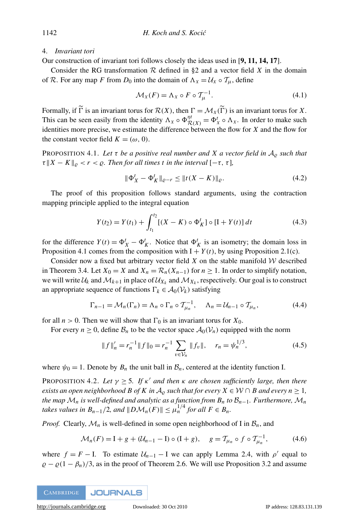<span id="page-11-0"></span>4. *Invariant tori*

Our construction of invariant tori follows closely the ideas used in [[9,](#page-14-6) [11,](#page-14-2) [14,](#page-15-9) [17](#page-15-4)].

Consider the RG transformation  $R$  defined in [§2](#page-3-0) and a vector field  $X$  in the domain of R. For any map *F* from  $D_0$  into the domain of  $\Lambda_X = U_X \circ T_\mu$ , define

<span id="page-11-4"></span>
$$
\mathcal{M}_X(F) = \Lambda_X \circ F \circ \mathcal{T}_\mu^{-1}.
$$
\n(4.1)

Formally, if  $\widetilde{\Gamma}$  is an invariant torus for  $\mathcal{R}(X)$ , then  $\Gamma = \mathcal{M}_X(\widetilde{\Gamma})$  is an invariant torus for X. This can be seen easily from the identity  $\Lambda_X \circ \Phi_{\mathcal{R}(X)}^{nt} = \Phi_X^t \circ \Lambda_X$ . In order to make such identities more precise, we estimate the difference between the flow for *X* and the flow for the constant vector field  $K = (\omega, 0)$ .

<span id="page-11-1"></span>PROPOSITION 4.1. Let  $\tau$  *be a positive real number and X a vector field in*  $A_{\varrho}$  *such that*  $\tau$ <sup>*K*</sup>  $K$  *k*<sub> $\varphi$ </sub> < *r* <  $\varrho$ *. Then for all times t in the interval*  $[-\tau, \tau]$ *,* 

$$
\|\Phi_X^t - \Phi_K^t\|_{\varrho - r} \le \|t(X - K)\|_{\varrho}.
$$
\n(4.2)

The proof of this proposition follows standard arguments, using the contraction mapping principle applied to the integral equation

$$
Y(t_2) = Y(t_1) + \int_{t_1}^{t_2} [(X - K) \circ \Phi_K^t] \circ [I + Y(t)] dt
$$
 (4.3)

for the difference  $Y(t) = \Phi_X^t - \Phi_K^t$ . Notice that  $\Phi_K^t$  is an isometry; the domain loss in Proposition [4.1](#page-11-1) comes from the composition with  $I + Y(t)$ , by using Proposition [2.1\(](#page-4-1)c).

Consider now a fixed but arbitrary vector field  $X$  on the stable manifold  $W$  described in Theorem [3.4.](#page-10-0) Let  $X_0 = X$  and  $X_n = \mathcal{R}_n(X_{n-1})$  for  $n \ge 1$ . In order to simplify notation, we will write  $\mathcal{U}_k$  and  $\mathcal{M}_{k+1}$  in place of  $\mathcal{U}_{X_k}$  and  $\mathcal{M}_{X_k}$ , respectively. Our goal is to construct an appropriate sequence of functions  $\Gamma_k \in A_0(\mathcal{V}_k)$  satisfying

<span id="page-11-3"></span>
$$
\Gamma_{n-1} = \mathcal{M}_n(\Gamma_n) = \Lambda_n \circ \Gamma_n \circ \mathcal{T}_{\mu_n}^{-1}, \quad \Lambda_n = \mathcal{U}_{n-1} \circ \mathcal{T}_{\mu_n}, \tag{4.4}
$$

for all  $n > 0$ . Then we will show that  $\Gamma_0$  is an invariant torus for  $X_0$ .

For every  $n \geq 0$ , define  $\mathcal{B}_n$  to be the vector space  $\mathcal{A}_0(\mathcal{V}_n)$  equipped with the norm

$$
||f||'_{n} = r_{n}^{-1} ||f||_{0} = r_{n}^{-1} \sum_{v \in \mathcal{V}_{n}} ||f_{v}||, \quad r_{n} = \psi_{n}^{1/3}, \tag{4.5}
$$

where  $\psi_0 = 1$ . Denote by  $B_n$  the unit ball in  $\mathcal{B}_n$ , centered at the identity function I.

<span id="page-11-5"></span>PROPOSITION 4.2. Let  $\gamma \geq 5$ . If  $\kappa'$  and then  $\kappa$  are chosen sufficiently large, then there *exists an open neighborhood B of K in*  $A_0$  *such that for every X*  $\in \mathcal{W} \cap B$  *and every n*  $\geq 1$ *, the map*  $\mathcal{M}_n$  *is well-defined and analytic as a function from*  $B_n$  *to*  $\mathcal{B}_{n-1}$ *. Furthermore,*  $\mathcal{M}_n$ *takes values in*  $B_{n-1}/2$ *, and*  $||D\mathcal{M}_n(F)|| \leq \mu_n^{1/4}$  *for all*  $F \in B_n$ *.* 

*Proof.* Clearly,  $\mathcal{M}_n$  is well-defined in some open neighborhood of I in  $\mathcal{B}_n$ , and

<span id="page-11-2"></span>
$$
\mathcal{M}_n(F) = I + g + (\mathcal{U}_{n-1} - I) \circ (I + g), \quad g = \mathcal{T}_{\mu_n} \circ f \circ \mathcal{T}_{\mu_n}^{-1}, \tag{4.6}
$$

where  $f = F - I$ . To estimate  $U_{n-1} - I$  we can apply Lemma [2.4,](#page-6-5) with  $\rho'$  equal to  $\rho - \rho (1 - \beta_n)/3$ , as in the proof of Theorem [2.6.](#page-7-4) We will use Proposition [3.2](#page-9-2) and assume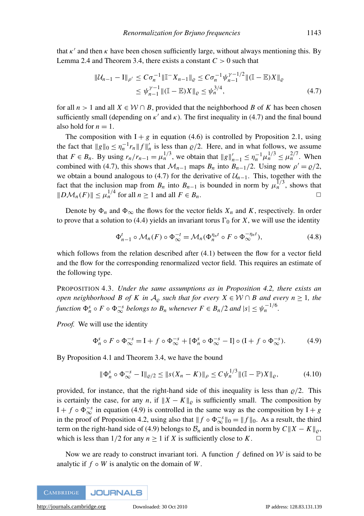that  $\kappa'$  and then  $\kappa$  have been chosen sufficiently large, without always mentioning this. By Lemma [2.4](#page-6-5) and Theorem [3.4,](#page-10-0) there exists a constant  $C > 0$  such that

<span id="page-12-0"></span>
$$
\|\mathcal{U}_{n-1} - \mathbf{I}\|_{\rho'} \leq C\sigma_n^{-1} \|\mathbb{I}^{-} X_{n-1}\|_{\varrho} \leq C\sigma_n^{-1} \psi_{n-1}^{\gamma - 1/2} \| (\mathbb{I} - \mathbb{E}) X \|_{\varrho}
$$
  
\$\leq \psi\_{n-1}^{\gamma - 1} \| (\mathbb{I} - \mathbb{E}) X \|\_{\varrho} \leq \psi\_n^{3/4}, \qquad (4.7)\$

for all  $n > 1$  and all  $X \in \mathcal{W} \cap B$ , provided that the neighborhood *B* of *K* has been chosen sufficiently small (depending on  $\kappa'$  and  $\kappa$ ). The first inequality in [\(4.7\)](#page-12-0) and the final bound also hold for  $n = 1$ .

The composition with  $I + g$  in equation [\(4.6\)](#page-11-2) is controlled by Proposition [2.1,](#page-4-1) using the fact that  $\|g\|_0 \leq \eta_n^{-1} r_n \|f\|_n'$  is less than  $\varrho/2$ . Here, and in what follows, we assume that  $F \in B_n$ . By using  $r_n/r_{n-1} = \mu_n^{1/3}$ , we obtain that  $||g||'_{n-1} \leq \eta_n^{-1} \mu_n^{1/3} \leq \mu_n^{2/7}$ . When combined with [\(4.7\)](#page-12-0), this shows that  $\mathcal{M}_{n-1}$  maps  $B_n$  into  $B_{n-1}/2$ . Using now  $\rho' = \rho/2$ , we obtain a bound analogous to [\(4.7\)](#page-12-0) for the derivative of  $U_{n-1}$ . This, together with the fact that the inclusion map from  $B_n$  into  $B_{n-1}$  is bounded in norm by  $\mu_n^{1/3}$ , shows that  $||D\mathcal{M}_n(F)|| \leq \mu_n^{1/4}$  for all  $n \geq 1$  and all  $F \in B_n$ .

Denote by  $\Phi_n$  and  $\Phi_\infty$  the flows for the vector fields  $X_n$  and  $K$ , respectively. In order to prove that a solution to [\(4.4\)](#page-11-3) yields an invariant torus  $\Gamma_0$  for *X*, we will use the identity

<span id="page-12-2"></span>
$$
\Phi_{n-1}^t \circ \mathcal{M}_n(F) \circ \Phi_{\infty}^{-t} = \mathcal{M}_n(\Phi_n^{\eta_n t} \circ F \circ \Phi_{\infty}^{-\eta_n t}), \tag{4.8}
$$

which follows from the relation described after [\(4.1\)](#page-11-4) between the flow for a vector field and the flow for the corresponding renormalized vector field. This requires an estimate of the following type.

<span id="page-12-3"></span>PROPOSITION 4.3. *Under the same assumptions as in Proposition [4.2,](#page-11-5) there exists an open neighborhood B of K in*  $A_0$  *such that for every*  $X \in W \cap B$  *and every*  $n \ge 1$ *, the function*  $\Phi_n^s \circ F \circ \Phi_\infty^{-s}$  *belongs to*  $B_n$  *whenever*  $F \in B_n/2$  *and*  $|s| \leq \psi_n^{-1/6}$ .

*Proof.* We will use the identity

<span id="page-12-1"></span>
$$
\Phi_n^s \circ F \circ \Phi_\infty^{-s} = I + f \circ \Phi_\infty^{-s} + [\Phi_n^s \circ \Phi_\infty^{-s} - I] \circ (I + f \circ \Phi_\infty^{-s}). \tag{4.9}
$$

By Proposition [4.1](#page-11-1) and Theorem [3.4,](#page-10-0) we have the bound

$$
\|\Phi_n^s \circ \Phi_\infty^{-s} - I\|_{\varrho/2} \le \|s(X_n - K)\|_{\rho} \le C\psi_n^{1/3} \| (\mathbb{I} - \mathbb{P})X \|_{\varrho},
$$
(4.10)

provided, for instance, that the right-hand side of this inequality is less than  $\varrho/2$ . This is certainly the case, for any *n*, if  $||X - K||_{\rho}$  is sufficiently small. The composition by  $I + f \circ \Phi_{\infty}^{-s}$  in equation [\(4.9\)](#page-12-1) is controlled in the same way as the composition by  $I + g$ in the proof of Proposition [4.2,](#page-11-5) using also that  $|| f \circ \Phi_{\infty}^{-s} ||_0 = || f ||_0$ . As a result, the third term on the right-hand side of [\(4.9\)](#page-12-1) belongs to  $B_n$  and is bounded in norm by  $C||X - K||_o$ , which is less than  $1/2$  for any  $n \ge 1$  if *X* is sufficiently close to *K*.

<span id="page-12-4"></span>Now we are ready to construct invariant tori. A function  $f$  defined on  $W$  is said to be analytic if  $f \circ W$  is analytic on the domain of W.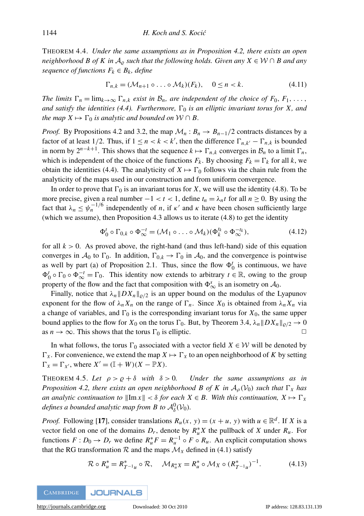THEOREM 4.4. *Under the same assumptions as in Proposition [4.2,](#page-11-5) there exists an open neighborhood B of K in*  $A_0$  *such that the following holds. Given any X*  $\in \mathcal{W} \cap B$  *and any sequence of functions*  $F_k \in B_k$ *, define* 

$$
\Gamma_{n,k} = (\mathcal{M}_{n+1} \circ \dots \circ \mathcal{M}_k)(F_k), \quad 0 \le n < k. \tag{4.11}
$$

*The limits*  $\Gamma_n = \lim_{k \to \infty} \Gamma_{n,k}$  *exist in*  $\mathcal{B}_n$ *, are independent of the choice of*  $F_0, F_1, \ldots$ , and satisfy the identities [\(4.4\)](#page-11-3). Furthermore,  $\Gamma_0$  is an elliptic invariant torus for X, and *the map*  $X \mapsto \Gamma_0$  *is analytic and bounded on*  $W \cap B$ .

*Proof.* By Propositions [4.2](#page-11-5) and [3.2,](#page-9-2) the map  $\mathcal{M}_n : B_n \to B_{n-1}/2$  contracts distances by a factor of at least 1/2. Thus, if  $1 \le n < k < k'$ , then the difference  $\Gamma_{n,k'} - \Gamma_{n,k}$  is bounded in norm by  $2^{n-k+1}$ . This shows that the sequence  $k \mapsto \Gamma_{n,k}$  converges in  $\mathcal{B}_n$  to a limit  $\Gamma_n$ , which is independent of the choice of the functions  $F_k$ . By choosing  $F_k = \Gamma_k$  for all *k*, we obtain the identities [\(4.4\)](#page-11-3). The analyticity of  $X \mapsto \Gamma_0$  follows via the chain rule from the analyticity of the maps used in our construction and from uniform convergence.

In order to prove that  $\Gamma_0$  is an invariant torus for *X*, we will use the identity [\(4.8\)](#page-12-2). To be more precise, given a real number  $-1 < t < 1$ , define  $t_n = \lambda_n t$  for all  $n \ge 0$ . By using the fact that  $\lambda_n \leq \psi_n^{-1/6}$  independently of *n*, if  $\kappa'$  and  $\kappa$  have been chosen sufficiently large (which we assume), then Proposition [4.3](#page-12-3) allows us to iterate [\(4.8\)](#page-12-2) to get the identity

$$
\Phi_0^t \circ \Gamma_{0,k} \circ \Phi_{\infty}^{-t} = (\mathcal{M}_1 \circ \dots \circ \mathcal{M}_k)(\Phi_k^{t_k} \circ \Phi_{\infty}^{-t_k}), \tag{4.12}
$$

for all  $k > 0$ . As proved above, the right-hand (and thus left-hand) side of this equation converges in  $A_0$  to  $\Gamma_0$ . In addition,  $\Gamma_{0,k} \to \Gamma_0$  in  $A_0$ , and the convergence is pointwise as well by part (a) of Proposition [2.1.](#page-4-1) Thus, since the flow  $\Phi_0^t$  is continuous, we have  $\Phi_0^t \circ \Gamma_0 \circ \Phi_\infty^{-t} = \Gamma_0$ . This identity now extends to arbitrary  $t \in \mathbb{R}$ , owing to the group property of the flow and the fact that composition with  $\Phi_{\infty}^{s}$  is an isometry on  $\mathcal{A}_{0}$ .

Finally, notice that  $\lambda_n ||DX_n||_{\rho/2}$  is an upper bound on the modulus of the Lyapunov exponent for the flow of  $\lambda_n X_n$  on the range of  $\Gamma_n$ . Since  $X_0$  is obtained from  $\lambda_n X_n$  via a change of variables, and  $\Gamma_0$  is the corresponding invariant torus for  $X_0$ , the same upper bound applies to the flow for  $X_0$  on the torus  $\Gamma_0$ . But, by Theorem [3.4,](#page-10-0)  $\lambda_n ||DX_n||_{\varrho/2} \to 0$ as  $n \to \infty$ . This shows that the torus  $\Gamma_0$  is elliptic.  $\Box$ 

In what follows, the torus  $\Gamma_0$  associated with a vector field  $X \in \mathcal{W}$  will be denoted by  $\Gamma_X$ . For convenience, we extend the map  $X \mapsto \Gamma_X$  to an open neighborhood of K by setting  $\Gamma_X = \Gamma_{X'}$ , where  $X' = (\mathbb{I} + W)(X - \mathbb{P}X)$ .

THEOREM 4.5. Let  $\rho > \rho + \delta$  with  $\delta > 0$ . Under the same assumptions as in *Proposition* [4.2,](#page-11-5) *there exists an open neighborhood B of K in*  $A_{\rho}(V_0)$  *such that*  $\Gamma_X$  *has an analytic continuation to*  $\|\text{Im } x\| < \delta$  *for each*  $X \in B$ *. With this continuation,*  $X \mapsto \Gamma_X$ defines a bounded analytic map from B to  $\mathcal{A}^0_\delta(\mathcal{V}_0)$ .

*Proof.* Following [[17](#page-15-4)], consider translations  $R_u(x, y) = (x + u, y)$  with  $u \in \mathbb{R}^d$ . If *X* is a vector field on one of the domains  $D_r$ , denote by  $R_u^* X$  the pullback of *X* under  $R_u$ . For functions  $F: D_0 \to D_r$  we define  $R_u^* F = R_u^{-1} \circ F \circ R_u$ . An explicit computation shows that the RG transformation  $\mathcal R$  and the maps  $\mathcal M_X$  defined in [\(4.1\)](#page-11-4) satisfy

<span id="page-13-0"></span>
$$
\mathcal{R} \circ R_u^* = R_{T^{-1}u}^* \circ \mathcal{R}, \quad \mathcal{M}_{R_u^*X} = R_u^* \circ \mathcal{M}_X \circ (R_{T^{-1}u}^*)^{-1}.
$$
 (4.13)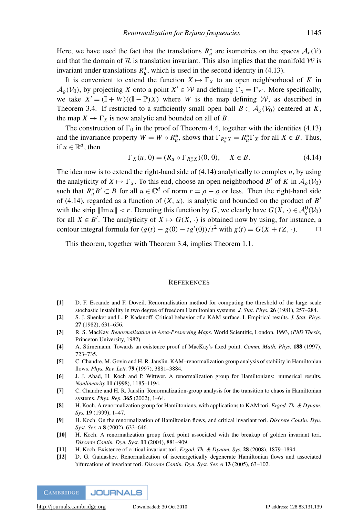Here, we have used the fact that the translations  $R_u^*$  are isometries on the spaces  $A_r(V)$ and that the domain of  $\mathcal R$  is translation invariant. This also implies that the manifold  $\mathcal W$  is invariant under translations  $R_u^*$ , which is used in the second identity in [\(4.13\)](#page-13-0).

It is convenient to extend the function  $X \mapsto \Gamma_X$  to an open neighborhood of K in  $\mathcal{A}_{\varrho}(\mathcal{V}_0)$ , by projecting *X* onto a point  $X' \in \mathcal{W}$  and defining  $\Gamma_X = \Gamma_{X'}$ . More specifically, we take  $X' = (\mathbb{I} + W)((\mathbb{I} - \mathbb{P})X)$  where *W* is the map defining *W*, as described in Theorem [3.4.](#page-10-0) If restricted to a sufficiently small open ball  $B \subset A_0(\mathcal{V}_0)$  centered at *K*, the map  $X \mapsto \Gamma_X$  is now analytic and bounded on all of *B*.

The construction of  $\Gamma_0$  in the proof of Theorem [4.4,](#page-12-4) together with the identities [\(4.13\)](#page-13-0) and the invariance property  $W = W \circ R_u^*$ , shows that  $\Gamma_{R_u^*X} = R_u^* \Gamma_X$  for all  $X \in B$ . Thus, if  $u \in \mathbb{R}^d$ , then

<span id="page-14-7"></span>
$$
\Gamma_X(u, 0) = (R_u \circ \Gamma_{R_u^*X})(0, 0), \quad X \in B.
$$
\n(4.14)

The idea now is to extend the right-hand side of [\(4.14\)](#page-14-7) analytically to complex *u*, by using the analyticity of  $X \mapsto \Gamma_X$ . To this end, choose an open neighborhood *B*<sup>'</sup> of *K* in  $\mathcal{A}_{\rho}(\mathcal{V}_0)$ such that  $R_u^* B' \subset B$  for all  $u \in \mathbb{C}^d$  of norm  $r = \rho - \varrho$  or less. Then the right-hand side of [\(4.14\)](#page-14-7), regarded as a function of  $(X, u)$ , is analytic and bounded on the product of *B*<sup>'</sup> with the strip  $\|\text{Im } u\| < r$ . Denoting this function by *G*, we clearly have  $G(X, \cdot) \in \mathcal{A}_{\delta}^0(\mathcal{V}_0)$ for all  $X \in B'$ . The analyticity of  $X \mapsto G(X, \cdot)$  is obtained now by using, for instance, a contour integral formula for  $(g(t) - g(0) - tg'(0))/t^2$  with  $g(t) = G(X + tZ, \cdot)$ .

This theorem, together with Theorem [3.4,](#page-10-0) implies Theorem [1.1.](#page-3-1)

#### **REFERENCES**

- <span id="page-14-1"></span>[1] D. F. Escande and F. Doveil. Renormalisation method for computing the threshold of the large scale stochastic instability in two degree of freedom Hamiltonian systems. *J. Stat. Phys.* 26 (1981), 257–284.
- [2] S. J. Shenker and L. P. Kadanoff. Critical behavior of a KAM surface. I. Empirical results. *J. Stat. Phys.* 27 (1982), 631–656.
- [3] R. S. MacKay. *Renormalisation in Area-Preserving Maps*. World Scientific, London, 1993, (*PhD Thesis*, Princeton University, 1982).
- [4] A. Stirnemann. Towards an existence proof of MacKay's fixed point. *Comm. Math. Phys.* 188 (1997), 723–735.
- [5] C. Chandre, M. Govin and H. R. Jauslin. KAM–renormalization group analysis of stability in Hamiltonian flows. *Phys. Rev. Lett.* 79 (1997), 3881–3884.
- [6] J. J. Abad, H. Koch and P. Wittwer. A renormalization group for Hamiltonians: numerical results. *Nonlinearity* 11 (1998), 1185–1194.
- <span id="page-14-0"></span>[7] C. Chandre and H. R. Jauslin. Renormalization-group analysis for the transition to chaos in Hamiltonian systems. *Phys. Rep.* 365 (2002), 1–64.
- <span id="page-14-4"></span>[8] H. Koch. A renormalization group for Hamiltonians, with applications to KAM tori. *Ergod. Th. & Dynam. Sys.* 19 (1999), 1–47.
- <span id="page-14-6"></span>[9] H. Koch. On the renormalization of Hamiltonian flows, and critical invariant tori. *Discrete Contin. Dyn. Syst. Ser. A* 8 (2002), 633–646.
- <span id="page-14-3"></span>[10] H. Koch. A renormalization group fixed point associated with the breakup of golden invariant tori. *Discrete Contin. Dyn. Syst.* 11 (2004), 881–909.
- <span id="page-14-2"></span>[11] H. Koch. Existence of critical invariant tori. *Ergod. Th. & Dynam. Sys.* 28 (2008), 1879–1894.
- <span id="page-14-5"></span>[12] D. G. Gaidashev. Renormalization of isoenergetically degenerate Hamiltonian flows and associated bifurcations of invariant tori. *Discrete Contin. Dyn. Syst. Ser. A* 13 (2005), 63–102.